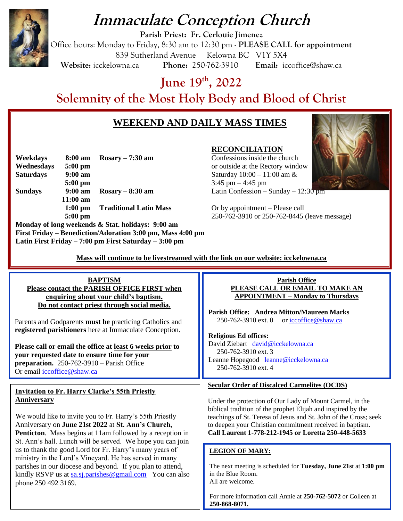

# **Immaculate Conception Church**

**Parish Priest: Fr. Cerlouie Jimenez** Office hours: Monday to Friday, 8:30 am to 12:30 pm - **PLEASE CALL for appointment** 839 Sutherland Avenue Kelowna BC V1Y 5X4 **Website:** icckelowna.ca **Phone:** 250-762-3910 **Email:** iccoffice@shaw.ca

**June 19 th, 2022**

**Solemnity of the Most Holy Body and Blood of Christ**

# **WEEKEND AND DAILY MASS TIMES**



**Weekdays 8:00 am Rosary – 7:30 am** Confessions inside the church **Wednesdays 5:00 pm** or outside at the Rectory window **Saturdays 9:00 am** Saturday 10:00 – 11:00 am & **5:00 pm** 3:45 pm – 4:45 pm **Sundays 9:00 am Rosary – 8:30 am** Latin Confession – Sunday – 12:30 pm **11:00 am 1:00 pm Traditional Latin Mass** Or by appointment – Please call

**Monday of long weekends & Stat. holidays: 9:00 am First Friday – Benediction/Adoration 3:00 pm, Mass 4:00 pm Latin First Friday – 7:00 pm First Saturday – 3:00 pm**

# **RECONCILIATION**

**5:00 pm** 250-762-3910 or 250-762-8445 (leave message)

 **Mass will continue to be livestreamed with the link on our website: icckelowna.ca** 

#### **BAPTISM Please contact the PARISH OFFICE FIRST when enquiring about your child's baptism. Do not contact priest through social media.**  Parents and Godparents **must be** practicing Catholics and **registered parishioners** here at Immaculate Conception. **Please call or email the office at least 6 weeks prior to your requested date to ensure time for your preparation.** 250-762-3910 – Parish Office Or email [iccoffice@shaw.ca](mailto:iccoffice@shaw.ca)  **Parish Office PLEASE CALL OR EMAIL TO MAKE AN APPOINTMENT – Monday to Thursdays Parish Office: Andrea Mitton/Maureen Marks**  250-762-3910 ext. 0 or  $\text{iccoffice}\textcircled{e}$  shaw.ca **Religious Ed offices:** David Ziebart david@icckelowna.ca 250-762-3910 ext. 3 Leanne Hopegood [leanne@icckelowna.ca](mailto:leanne@icckelowna.ca) 250-762-3910 ext. 4 **Invitation to Fr. Harry Clarke's 55th Priestly Anniversary** We would like to invite you to Fr. Harry's 55th Priestly Anniversary on **June 21st 2022** at **St. Ann's Church, Penticton**. Mass begins at 11am followed by a reception in St. Ann's hall. Lunch will be served. We hope you can join us to thank the good Lord for Fr. Harry's many years of ministry in the Lord's Vineyard. He has served in many parishes in our diocese and beyond. If you plan to attend, kindly RSVP us at [sa.sj.parishes@gmail.com](mailto:sa.sj.parishes@gmail.com) You can also phone 250 492 3169. **Secular Order of Discalced Carmelites (OCDS)** Under the protection of Our Lady of Mount Carmel, in the biblical tradition of the prophet Elijah and inspired by the teachings of St. Teresa of Jesus and St. John of the Cross; seek to deepen your Christian commitment received in baptism. **Call Laurent 1-778-212-1945 or Loretta 250-448-5633 LEGION OF MARY:** The next meeting is scheduled for **Tuesday, June 21s**t at **1:00 pm** in the Blue Room. All are welcome.

For more information call Annie at **250-762-5072** or Colleen at **250-868-8071.**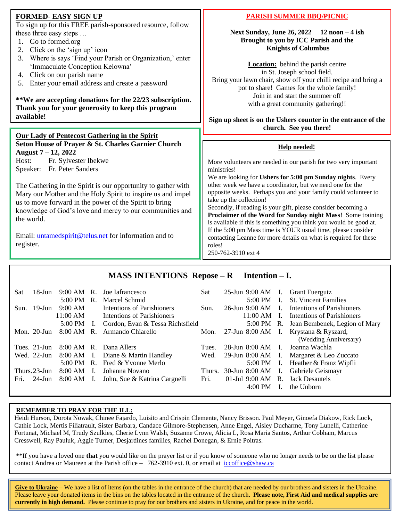# **FORMED- EASY SIGN UP**

To sign up for this FREE parish-sponsored resource, follow these three easy steps …

- 1. Go to formed.org
- 2. Click on the 'sign up' icon
- 3. Where is says 'Find your Parish or Organization,' enter 'Immaculate Conception Kelowna'
- 4. Click on our parish name
- 5. Enter your email address and create a password

**\*\*We are accepting donations for the 22/23 subscription. Thank you for your generosity to keep this program available!**

#### **Our Lady of Pentecost Gathering in the Spirit Seton House of Prayer & St. Charles Garnier Church**

**August 7 – 12, 2022** Host: Fr. Sylvester Ibekwe Speaker: Fr. Peter Sanders

The Gathering in the Spirit is our opportunity to gather with Mary our Mother and the Holy Spirit to inspire us and impel us to move forward in the power of the Spirit to bring knowledge of God's love and mercy to our communities and the world.

Email: [untamedspirit@telus.net](mailto:untamedspirit@telus.net) for information and to register.

# **PARISH SUMMER BBQ/PICNIC**

**Next Sunday, June 26, 2022 12 noon – 4 ish Brought to you by ICC Parish and the Knights of Columbus**

**Location:** behind the parish centre in St. Joseph school field. Bring your lawn chair, show off your chilli recipe and bring a pot to share! Games for the whole family! Join in and start the summer off with a great community gathering!!

**Sign up sheet is on the Ushers counter in the entrance of the church. See you there!**

#### **Help needed!**

More volunteers are needed in our parish for two very important ministries!

We are looking for **Ushers for 5:00 pm Sunday nights**. Every other week we have a coordinator, but we need one for the opposite weeks. Perhaps you and your family could volunteer to take up the collection!

Secondly, if reading is your gift, please consider becoming a **Proclaimer of the Word for Sunday night Mass**! Some training is available if this is something you think you would be good at. If the 5:00 pm Mass time is YOUR usual time, please consider contacting Leanne for more details on what is required for these roles!

250-762-3910 ext 4

# **MASS INTENTIONS Repose – R Intention – I.**

| Sat  | 18-Jun           | $9:00$ AM R.      |                | Joe Iafrancesco                   | Sat    | 25-Jun 9:00 AM I. Grant Fuergutz |                                          |
|------|------------------|-------------------|----------------|-----------------------------------|--------|----------------------------------|------------------------------------------|
|      |                  | $5:00 \text{ PM}$ | <b>R.</b>      | Marcel Schmid                     |        | $5:00 \text{ PM}$ I.             | <b>St. Vincent Families</b>              |
|      | Sun. $19$ -Jun   | 9:00 AM           |                | <b>Intentions of Parishioners</b> | Sun.   | $26$ -Jun 9:00 AM I.             | Intentions of Parishioners               |
|      |                  | 11:00 AM          |                | <b>Intentions of Parishioners</b> |        | $11:00 \text{ AM}$ I.            | Intentions of Parishioners               |
|      |                  | $5:00 \text{ PM}$ | $\mathbf{I}$ . | Gordon, Evan & Tessa Richtsfield  |        |                                  | 5:00 PM R. Jean Bembenek, Legion of Mary |
|      | Mon. $20$ -Jun   | 8:00 AM           | $R_{\odot}$    | Armando Chiarello                 | Mon.   |                                  | 27-Jun 8:00 AM I. Krystana & Ryszard,    |
|      |                  |                   |                |                                   |        |                                  | (Wedding Anniversary)                    |
|      | Tues. $21$ -Jun  |                   |                | 8:00 AM R. Dana Allers            | Tues.  | $28$ -Jun $8:00$ AM I.           | Joanna Wachla                            |
|      | Wed. 22-Jun      | 8:00 AM I.        |                | Diane & Martin Handley            | Wed.   |                                  | 29-Jun 8:00 AM I. Margaret & Leo Zuccato |
|      |                  | $5:00 \text{ PM}$ |                | R. Fred & Yvonne Merlo            |        |                                  | 5:00 PM I. Heather & Franz Wipfli        |
|      | Thurs. $23$ -Jun | 8:00 AM           | - I.           | Johanna Novano                    | Thurs. | 30-Jun 8:00 AM I.                | Gabriele Geismayr                        |
| Fri. | 24-Jun           | 8:00 AM           | I.             | John, Sue & Katrina Cargnelli     | Fri.   | 01-Jul 9:00 AM R. Jack Desautels |                                          |
|      |                  |                   |                |                                   |        | $4:00 \text{ PM}$                | the Unborn                               |

#### **REMEMBER TO PRAY FOR THE ILL:**

 $\overline{a}$ 

Heidi Hurson, Dorota Nowak, Chinee Fajardo, Luisito and Crispin Clemente, Nancy Brisson. Paul Meyer, Ginoefa Diakow, Rick Lock, Cathie Lock, Mertis Filiatrault, Sister Barbara, Candace Gilmore-Stephensen, Anne Engel, Aisley Ducharme, Tony Lunelli, Catherine Fortunat, Michael M, Trudy Szulkies, Cherie Lynn Walsh, Suzanne Crowe, Alicia L, Rosa Maria Santos, Arthur Cobham, Marcus Cresswell, Ray Pauluk, Aggie Turner, Desjardines families, Rachel Donegan, & Ernie Poitras.

\*\*If you have a loved one **that** you would like on the prayer list or if you know of someone who no longer needs to be on the list please contact Andrea or Maureen at the Parish office – 762-3910 ext. 0, or email at iccoffice@shaw.ca

Give to Ukraine – We have a list of items (on the tables in the entrance of the church) that are needed by our brothers and sisters in the Ukraine. Please leave your donated items in the bins on the tables located in the entrance of the church. **Please note, First Aid and medical supplies are currently in high demand.** Please continue to pray for our brothers and sisters in Ukraine, and for peace in the world.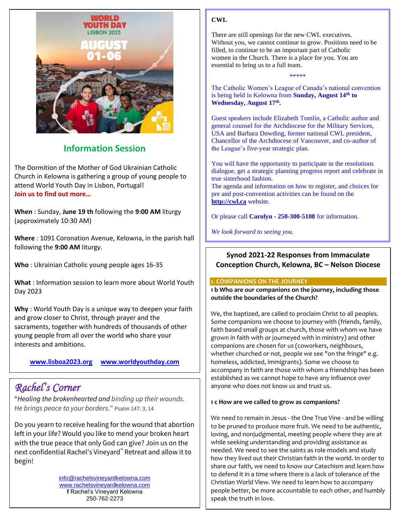

# **Information Session**

The Dormition of the Mother of God Ukrainian Catholic Church in Kelowna is gathering a group of young people to attend World Youth Day in Lisbon, Portugal! **Join us to find out more…**

**When** : Sunday, **June 19 th** following the **9:00 AM** liturgy (approximately 10:30 AM)

**Where** : 1091 Coronation Avenue, Kelowna, in the parish hall following the **9:00 AM** liturgy.

**Who** : Ukrainian Catholic young people ages 16-35

**What** : Information session to learn more about World Youth Day 2023

**Why** : World Youth Day is a unique way to deepen your faith and grow closer to Christ, through prayer and the sacraments, together with hundreds of thousands of other young people from all over the world who share your interests and ambitions.

**[www.lisboa2023.org](http://www.lisboa2023.org/) [www.worldyouthday.com](http://www.worldyouthday.com/)**

# *Rachel's Corner*

"*Healing the brokenhearted and binding up their wounds. He brings peace to your borders*." Psalm 147: 3, 14

Do you yearn to receive healing for the wound that abortion left in your life? Would you like to mend your broken heart with the true peace that only God can give? Join us on the next confidential Rachel's Vineyard™ Retreat and allow it to begin!

> [info@rachelsvineyardkelowna.com](mailto:info@rachelsvineyardkelowna.com) [www.rachelsvineyardkelowna.com](http://www.rachelsvineyardkelowna.com/) **f** Rachel's Vineyard Kelowna 250-762-2273

#### **CWL**

There are still openings for the new CWL executives. Without you, we cannot continue to grow. Positions need to be filled, to continue to be an important part of Catholic women in the Church. There is a place for you. You are essential to bring us to a full team.

The Catholic Women's League of Canada's national convention is being held in Kelowna from **Sunday, August 14th to Wednesday, August 17th .**

\*\*\*\*\*

Guest speakers include Elizabeth Tomlin, a Catholic author and general counsel for the Archdiocese for the Military Services, USA and Barbara Dowding, former national CWL president, Chancellor of the Archdiocese of Vancouver, and co-author of the League's five-year strategic plan.

You will have the opportunity to participate in the resolutions dialogue, get a strategic planning progress report and celebrate in true sisterhood fashion.

The agenda and information on how to register, and choices for pre and post-convention activities can be found on the **[http://cwl.ca](http://cwl.ca/)** website.

Or please call **Carolyn - 250-300-5108** for information.

*We look forward to seeing you.*

# **Synod 2021-22 Responses from Immaculate Conception Church, Kelowna, BC – Nelson Diocese**

#### **1. COMPANIONS ON THE JOURNEY**

**1 b Who are our companions on the journey, including those outside the boundaries of the Church?** 

We, the baptized, are called to proclaim Christ to all peoples. Some companions we choose to journey with (friends, family, faith based small groups at church, those with whom we have grown in faith with or journeyed with in ministry) and other companions are chosen for us (coworkers, neighbours, whether churched or not, people we see "on the fringe" e.g. homeless, addicted, immigrants). Some we choose to accompany in faith are those with whom a friendship has been established as we cannot hope to have any influence over anyone who does not know us and trust us.

#### **1 c How are we called to grow as companions?**

We need to remain in Jesus - the One True Vine - and be willing to be pruned to produce more fruit. We need to be authentic, loving, and nonjudgmental, meeting people where they are at while seeking understanding and providing assistance as needed. We need to see the saints as role models and study how they lived out their Christian faith in the world. In order to share our faith, we need to know our Catechism and learn how to defend it in a time where there is a lack of tolerance of the Christian World View. We need to learn how to accompany people better, be more accountable to each other, and humbly speak the truth in love.